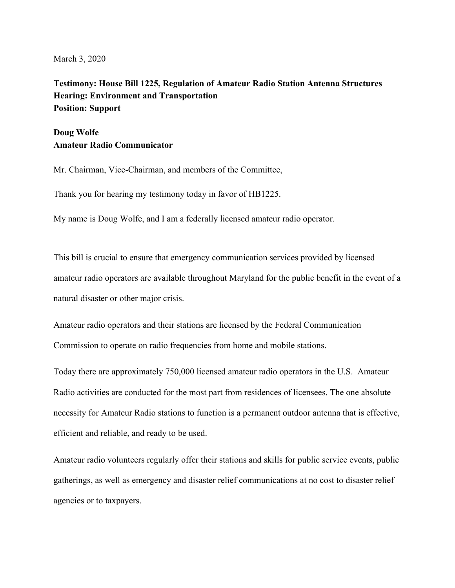March 3, 2020

**Testimony: House Bill 1225, Regulation of Amateur Radio Station Antenna Structures Hearing: Environment and Transportation Position: Support** 

## **Doug Wolfe Amateur Radio Communicator**

Mr. Chairman, Vice-Chairman, and members of the Committee,

Thank you for hearing my testimony today in favor of HB1225.

My name is Doug Wolfe, and I am a federally licensed amateur radio operator.

This bill is crucial to ensure that emergency communication services provided by licensed amateur radio operators are available throughout Maryland for the public benefit in the event of a natural disaster or other major crisis.

Amateur radio operators and their stations are licensed by the Federal Communication Commission to operate on radio frequencies from home and mobile stations.

Today there are approximately 750,000 licensed amateur radio operators in the U.S. Amateur Radio activities are conducted for the most part from residences of licensees. The one absolute necessity for Amateur Radio stations to function is a permanent outdoor antenna that is effective, efficient and reliable, and ready to be used.

Amateur radio volunteers regularly offer their stations and skills for public service events, public gatherings, as well as emergency and disaster relief communications at no cost to disaster relief agencies or to taxpayers.